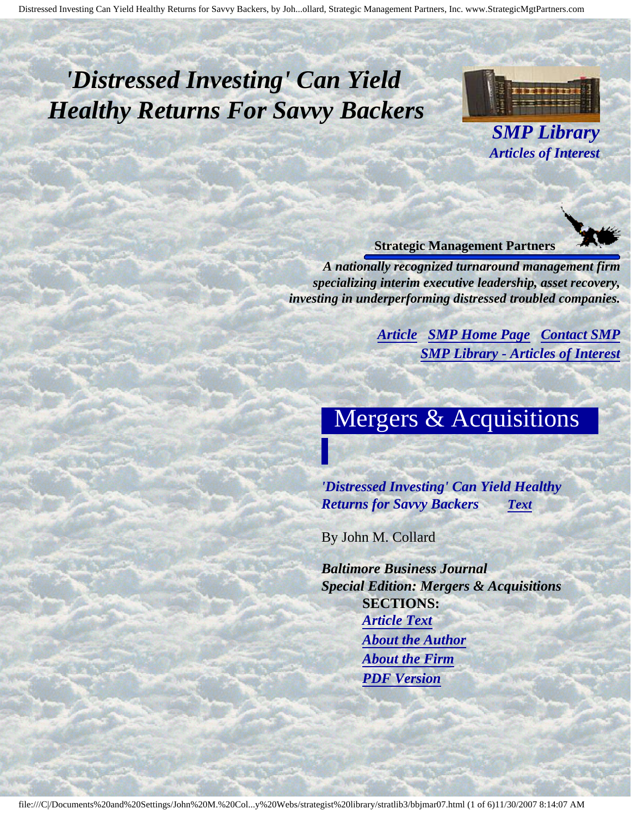# <span id="page-0-3"></span><span id="page-0-2"></span>*'Distressed Investing' Can Yield Healthy Returns For Savvy Backers*



*SMP Library Articles of Interest*

#### **Strategic Management Partners**

<span id="page-0-0"></span>*A nationally recognized turnaround management firm specializing interim executive leadership, asset recovery, investing in underperforming distressed troubled companies.*

> *[Article](#page-0-0) [SMP Home Page](http://members.aol.com/strategist/home.html#TOP) [Contact SMP](#page-5-0) [SMP Library - Articles of Interest](http://members.aol.com/stratlib3/libindx.html#TOP)*

## Mergers & Acquisitions

*'Distressed Investing' Can Yield Healthy Returns for Savvy Backers [Text](#page-1-0)*

By John M. Collard

<span id="page-0-1"></span>*Baltimore Business Journal Special Edition: Mergers & Acquisitions* **SECTIONS:** *[Article Text](#page-1-0) [About the Author](#page-4-0) [About the Firm](#page-4-1) [PDF Version](http://members.aol.com/stratlib3/bbjmar07.pdf)*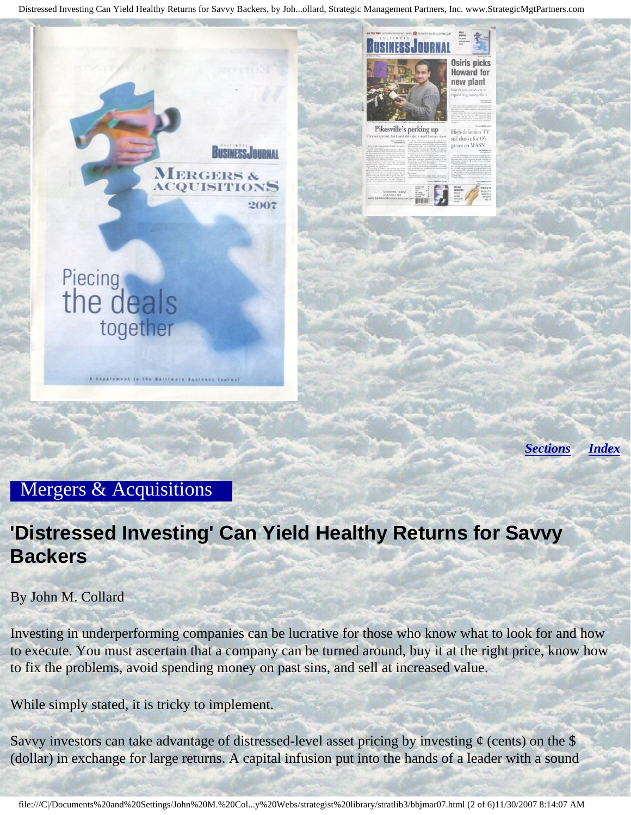

*[Sections](#page-0-1) [Index](#page-0-2)*

**Osiris picks Howard for** new plant

High-definition TV still elusive for games on MASN

#### <span id="page-1-0"></span>Mergers & Acquisitions

### **'Distressed Investing' Can Yield Healthy Returns for Savvy Backers**

By John M. Collard

Investing in underperforming companies can be lucrative for those who know what to look for and how to execute. You must ascertain that a company can be turned around, buy it at the right price, know how to fix the problems, avoid spending money on past sins, and sell at increased value.

While simply stated, it is tricky to implement.

Savvy investors can take advantage of distressed-level asset pricing by investing  $\phi$  (cents) on the \$ (dollar) in exchange for large returns. A capital infusion put into the hands of a leader with a sound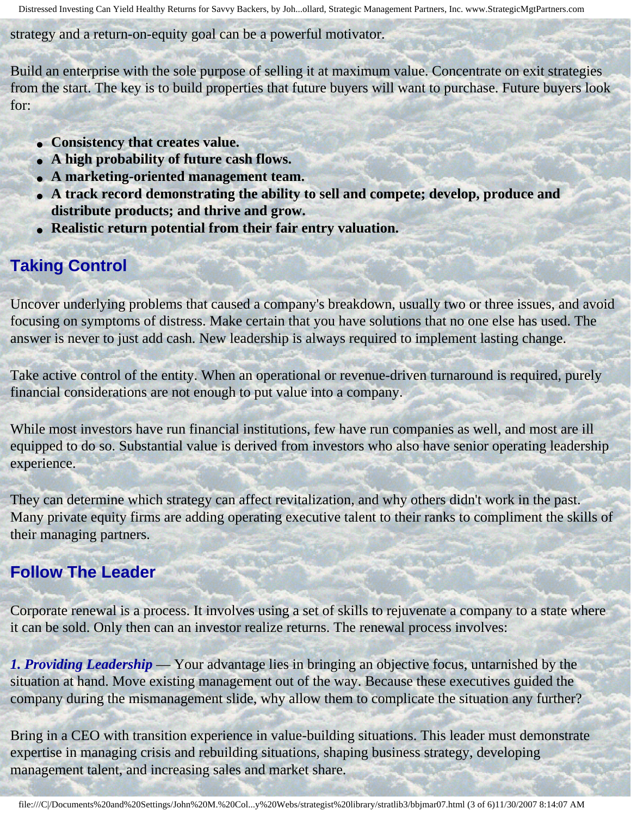strategy and a return-on-equity goal can be a powerful motivator.

Build an enterprise with the sole purpose of selling it at maximum value. Concentrate on exit strategies from the start. The key is to build properties that future buyers will want to purchase. Future buyers look for:

- **Consistency that creates value.**
- **A high probability of future cash flows.**
- **A marketing-oriented management team.**
- **A track record demonstrating the ability to sell and compete; develop, produce and distribute products; and thrive and grow.**
- **Realistic return potential from their fair entry valuation.**

### **Taking Control**

Uncover underlying problems that caused a company's breakdown, usually two or three issues, and avoid focusing on symptoms of distress. Make certain that you have solutions that no one else has used. The answer is never to just add cash. New leadership is always required to implement lasting change.

Take active control of the entity. When an operational or revenue-driven turnaround is required, purely financial considerations are not enough to put value into a company.

While most investors have run financial institutions, few have run companies as well, and most are ill equipped to do so. Substantial value is derived from investors who also have senior operating leadership experience.

They can determine which strategy can affect revitalization, and why others didn't work in the past. Many private equity firms are adding operating executive talent to their ranks to compliment the skills of their managing partners.

### **Follow The Leader**

Corporate renewal is a process. It involves using a set of skills to rejuvenate a company to a state where it can be sold. Only then can an investor realize returns. The renewal process involves:

*1. Providing Leadership* — Your advantage lies in bringing an objective focus, untarnished by the situation at hand. Move existing management out of the way. Because these executives guided the company during the mismanagement slide, why allow them to complicate the situation any further?

Bring in a CEO with transition experience in value-building situations. This leader must demonstrate expertise in managing crisis and rebuilding situations, shaping business strategy, developing management talent, and increasing sales and market share.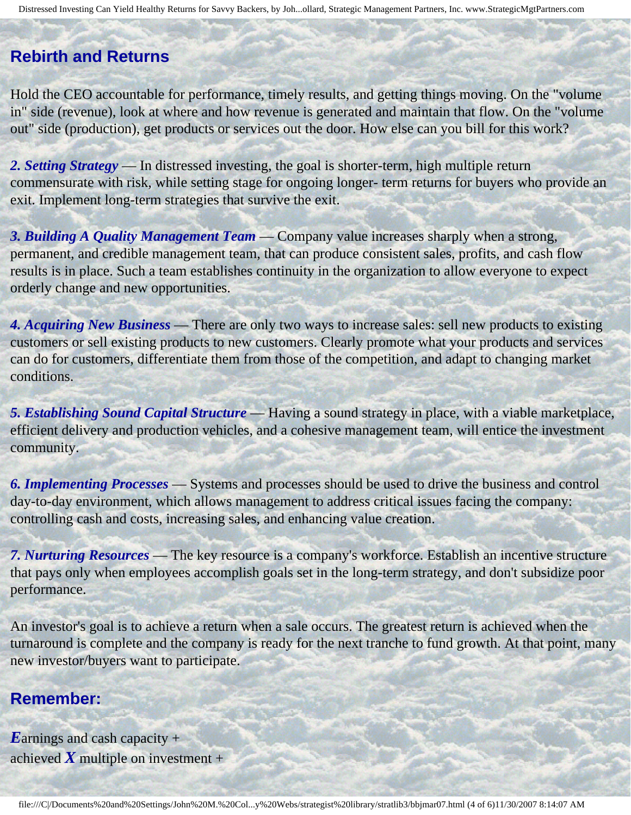#### **Rebirth and Returns**

Hold the CEO accountable for performance, timely results, and getting things moving. On the "volume in" side (revenue), look at where and how revenue is generated and maintain that flow. On the "volume out" side (production), get products or services out the door. How else can you bill for this work?

*2. Setting Strategy* — In distressed investing, the goal is shorter-term, high multiple return commensurate with risk, while setting stage for ongoing longer- term returns for buyers who provide an exit. Implement long-term strategies that survive the exit.

*3. Building A Quality Management Team* — Company value increases sharply when a strong, permanent, and credible management team, that can produce consistent sales, profits, and cash flow results is in place. Such a team establishes continuity in the organization to allow everyone to expect orderly change and new opportunities.

*4. Acquiring New Business* — There are only two ways to increase sales: sell new products to existing customers or sell existing products to new customers. Clearly promote what your products and services can do for customers, differentiate them from those of the competition, and adapt to changing market conditions.

*5. Establishing Sound Capital Structure* — Having a sound strategy in place, with a viable marketplace, efficient delivery and production vehicles, and a cohesive management team, will entice the investment community.

*6. Implementing Processes* — Systems and processes should be used to drive the business and control day-to-day environment, which allows management to address critical issues facing the company: controlling cash and costs, increasing sales, and enhancing value creation.

*7. Nurturing Resources* — The key resource is a company's workforce. Establish an incentive structure that pays only when employees accomplish goals set in the long-term strategy, and don't subsidize poor performance.

An investor's goal is to achieve a return when a sale occurs. The greatest return is achieved when the turnaround is complete and the company is ready for the next tranche to fund growth. At that point, many new investor/buyers want to participate.

#### **Remember:**

*E*arnings and cash capacity + achieved  $\boldsymbol{X}$  multiple on investment +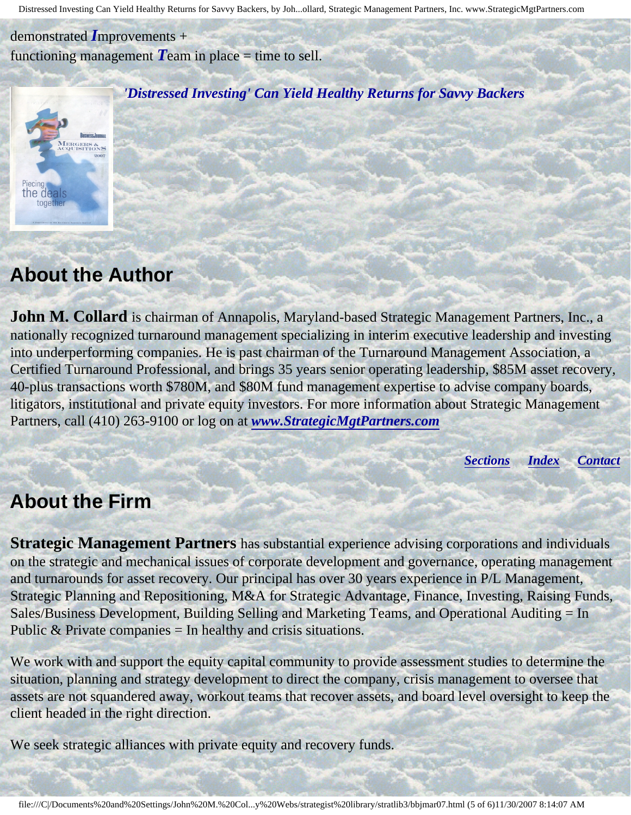demonstrated *I*mprovements + functioning management  $T$ eam in place  $=$  time to sell.



*'Distressed Investing' Can Yield Healthy Returns for Savvy Backers*

### <span id="page-4-0"></span>**About the Author**

**John M. Collard** is chairman of Annapolis, Maryland-based Strategic Management Partners, Inc., a nationally recognized turnaround management specializing in interim executive leadership and investing into underperforming companies. He is past chairman of the Turnaround Management Association, a Certified Turnaround Professional, and brings 35 years senior operating leadership, \$85M asset recovery, 40-plus transactions worth \$780M, and \$80M fund management expertise to advise company boards, litigators, institutional and private equity investors. For more information about Strategic Management Partners, call (410) 263-9100 or log on at *[www.StrategicMgtPartners.com](http://members.aol.com/strategist/home.html#TOP)*

*[Sections](#page-0-1) [Index](#page-0-2) [Contact](#page-5-0)*

#### <span id="page-4-1"></span>**About the Firm**

**Strategic Management Partners** has substantial experience advising corporations and individuals on the strategic and mechanical issues of corporate development and governance, operating management and turnarounds for asset recovery. Our principal has over 30 years experience in P/L Management, Strategic Planning and Repositioning, M&A for Strategic Advantage, Finance, Investing, Raising Funds, Sales/Business Development, Building Selling and Marketing Teams, and Operational Auditing = In Public  $&$  Private companies  $=$  In healthy and crisis situations.

We work with and support the equity capital community to provide assessment studies to determine the situation, planning and strategy development to direct the company, crisis management to oversee that assets are not squandered away, workout teams that recover assets, and board level oversight to keep the client headed in the right direction.

We seek strategic alliances with private equity and recovery funds.